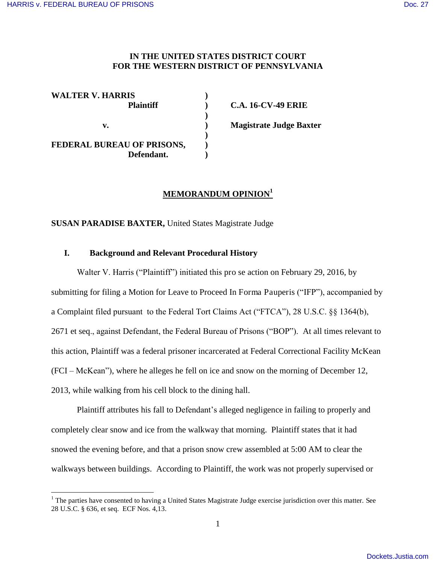$\overline{a}$ 

## **IN THE UNITED STATES DISTRICT COURT FOR THE WESTERN DISTRICT OF PENNSYLVANIA**

| <b>WALTER V. HARRIS</b><br><b>Plaintiff</b> |  |
|---------------------------------------------|--|
|                                             |  |
| v.                                          |  |
|                                             |  |
| FEDERAL BUREAU OF PRISONS,                  |  |
| Defendant.                                  |  |

**Plannel C.A. 16-CV-49 ERIE Magistrate Judge Baxter** 

# **MEMORANDUM OPINION<sup>1</sup>**

**SUSAN PARADISE BAXTER,** United States Magistrate Judge

## **I. Background and Relevant Procedural History**

Walter V. Harris ("Plaintiff") initiated this pro se action on February 29, 2016, by submitting for filing a Motion for Leave to Proceed In Forma Pauperis ("IFP"), accompanied by a Complaint filed pursuant to the Federal Tort Claims Act ("FTCA"), 28 U.S.C. §§ 1364(b), 2671 et seq., against Defendant, the Federal Bureau of Prisons ("BOP"). At all times relevant to this action, Plaintiff was a federal prisoner incarcerated at Federal Correctional Facility McKean (FCI – McKean"), where he alleges he fell on ice and snow on the morning of December 12, 2013, while walking from his cell block to the dining hall.

Plaintiff attributes his fall to Defendant's alleged negligence in failing to properly and completely clear snow and ice from the walkway that morning. Plaintiff states that it had snowed the evening before, and that a prison snow crew assembled at 5:00 AM to clear the walkways between buildings. According to Plaintiff, the work was not properly supervised or

<sup>&</sup>lt;sup>1</sup> The parties have consented to having a United States Magistrate Judge exercise jurisdiction over this matter. See 28 U.S.C. § 636, et seq. ECF Nos. 4,13.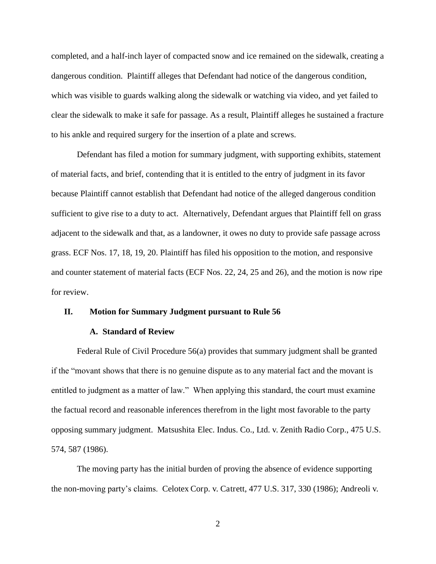completed, and a half-inch layer of compacted snow and ice remained on the sidewalk, creating a dangerous condition. Plaintiff alleges that Defendant had notice of the dangerous condition, which was visible to guards walking along the sidewalk or watching via video, and yet failed to clear the sidewalk to make it safe for passage. As a result, Plaintiff alleges he sustained a fracture to his ankle and required surgery for the insertion of a plate and screws.

Defendant has filed a motion for summary judgment, with supporting exhibits, statement of material facts, and brief, contending that it is entitled to the entry of judgment in its favor because Plaintiff cannot establish that Defendant had notice of the alleged dangerous condition sufficient to give rise to a duty to act. Alternatively, Defendant argues that Plaintiff fell on grass adjacent to the sidewalk and that, as a landowner, it owes no duty to provide safe passage across grass. ECF Nos. 17, 18, 19, 20. Plaintiff has filed his opposition to the motion, and responsive and counter statement of material facts (ECF Nos. 22, 24, 25 and 26), and the motion is now ripe for review.

### **II. Motion for Summary Judgment pursuant to Rule 56**

#### **A. Standard of Review**

 Federal Rule of Civil Procedure 56(a) provides that summary judgment shall be granted if the "movant shows that there is no genuine dispute as to any material fact and the movant is entitled to judgment as a matter of law." When applying this standard, the court must examine the factual record and reasonable inferences therefrom in the light most favorable to the party opposing summary judgment. Matsushita Elec. Indus. Co., Ltd. v. Zenith Radio Corp., 475 U.S. 574, 587 (1986).

The moving party has the initial burden of proving the absence of evidence supporting the non-moving party's claims. Celotex Corp. v. Catrett, 477 U.S. 317, 330 (1986); Andreoli v.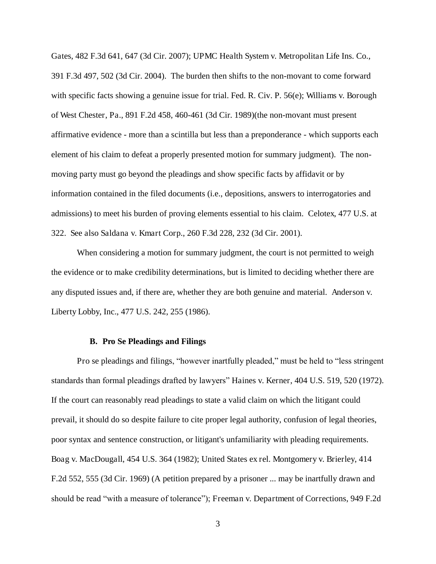Gates, 482 F.3d 641, 647 (3d Cir. 2007); UPMC Health System v. Metropolitan Life Ins. Co., 391 F.3d 497, 502 (3d Cir. 2004). The burden then shifts to the non-movant to come forward with specific facts showing a genuine issue for trial. Fed. R. Civ. P. 56(e); Williams v. Borough of West Chester, Pa., 891 F.2d 458, 460-461 (3d Cir. 1989)(the non-movant must present affirmative evidence - more than a scintilla but less than a preponderance - which supports each element of his claim to defeat a properly presented motion for summary judgment). The nonmoving party must go beyond the pleadings and show specific facts by affidavit or by information contained in the filed documents (i.e., depositions, answers to interrogatories and admissions) to meet his burden of proving elements essential to his claim. Celotex, 477 U.S. at 322. See also Saldana v. Kmart Corp., 260 F.3d 228, 232 (3d Cir. 2001).

When considering a motion for summary judgment, the court is not permitted to weigh the evidence or to make credibility determinations, but is limited to deciding whether there are any disputed issues and, if there are, whether they are both genuine and material. Anderson v. Liberty Lobby, Inc., 477 U.S. 242, 255 (1986).

#### **B. Pro Se Pleadings and Filings**

Pro se pleadings and filings, "however inartfully pleaded," must be held to "less stringent standards than formal pleadings drafted by lawyers" Haines v. Kerner, 404 U.S. 519, 520 (1972). If the court can reasonably read pleadings to state a valid claim on which the litigant could prevail, it should do so despite failure to cite proper legal authority, confusion of legal theories, poor syntax and sentence construction, or litigant's unfamiliarity with pleading requirements. Boag v. MacDougall, 454 U.S. 364 (1982); United States ex rel. Montgomery v. Brierley, 414 F.2d 552, 555 (3d Cir. 1969) (A petition prepared by a prisoner ... may be inartfully drawn and should be read "with a measure of tolerance"); Freeman v. Department of Corrections, 949 F.2d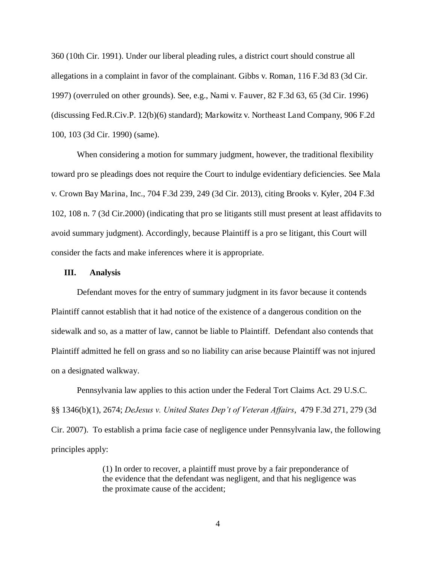360 (10th Cir. 1991). Under our liberal pleading rules, a district court should construe all allegations in a complaint in favor of the complainant. Gibbs v. Roman, 116 F.3d 83 (3d Cir. 1997) (overruled on other grounds). See, e.g., Nami v. Fauver, 82 F.3d 63, 65 (3d Cir. 1996) (discussing Fed.R.Civ.P. 12(b)(6) standard); Markowitz v. Northeast Land Company, 906 F.2d 100, 103 (3d Cir. 1990) (same).

When considering a motion for summary judgment, however, the traditional flexibility toward pro se pleadings does not require the Court to indulge evidentiary deficiencies. See Mala v. Crown Bay Marina, Inc., 704 F.3d 239, 249 (3d Cir. 2013), citing Brooks v. Kyler, 204 F.3d 102, 108 n. 7 (3d Cir.2000) (indicating that pro se litigants still must present at least affidavits to avoid summary judgment). Accordingly, because Plaintiff is a pro se litigant, this Court will consider the facts and make inferences where it is appropriate.

#### **III. Analysis**

Defendant moves for the entry of summary judgment in its favor because it contends Plaintiff cannot establish that it had notice of the existence of a dangerous condition on the sidewalk and so, as a matter of law, cannot be liable to Plaintiff. Defendant also contends that Plaintiff admitted he fell on grass and so no liability can arise because Plaintiff was not injured on a designated walkway.

 Pennsylvania law applies to this action under the Federal Tort Claims Act. 29 U.S.C. §§ 1346(b)(1), 2674; *DeJesus v. United States Dep't of Veteran Affairs*, 479 F.3d 271, 279 (3d Cir. 2007). To establish a prima facie case of negligence under Pennsylvania law, the following principles apply:

> (1) In order to recover, a plaintiff must prove by a fair preponderance of the evidence that the defendant was negligent, and that his negligence was the proximate cause of the accident;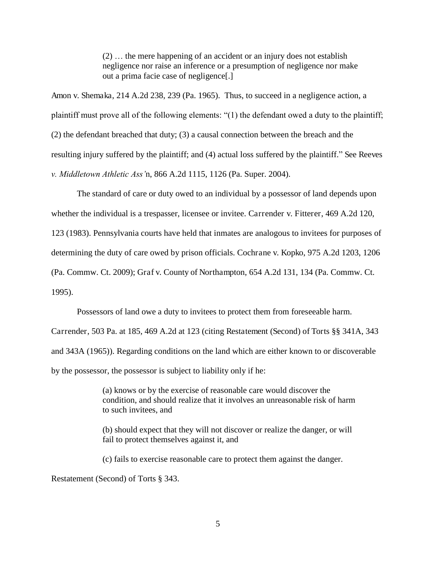(2) … the mere happening of an accident or an injury does not establish negligence nor raise an inference or a presumption of negligence nor make out a prima facie case of negligence[.]

Amon v. Shemaka, 214 A.2d 238, 239 (Pa. 1965). Thus, to succeed in a negligence action, a plaintiff must prove all of the following elements: "(1) the defendant owed a duty to the plaintiff; (2) the defendant breached that duty; (3) a causal connection between the breach and the resulting injury suffered by the plaintiff; and (4) actual loss suffered by the plaintiff." See Reeves *v. Middletown Athletic Ass'*n, 866 A.2d 1115, 1126 (Pa. Super. 2004).

The standard of care or duty owed to an individual by a possessor of land depends upon whether the individual is a trespasser, licensee or invitee. Carrender v. Fitterer, 469 A.2d 120,

123 (1983). Pennsylvania courts have held that inmates are analogous to invitees for purposes of

determining the duty of care owed by prison officials. Cochrane v. Kopko, 975 A.2d 1203, 1206

(Pa. Commw. Ct. 2009); Graf v. County of Northampton, 654 A.2d 131, 134 (Pa. Commw. Ct.

1995).

Possessors of land owe a duty to invitees to protect them from foreseeable harm.

Carrender, 503 Pa. at 185, 469 A.2d at 123 (citing Restatement (Second) of Torts §§ 341A, 343 and 343A (1965)). Regarding conditions on the land which are either known to or discoverable by the possessor, the possessor is subject to liability only if he:

> (a) knows or by the exercise of reasonable care would discover the condition, and should realize that it involves an unreasonable risk of harm to such invitees, and

(b) should expect that they will not discover or realize the danger, or will fail to protect themselves against it, and

(c) fails to exercise reasonable care to protect them against the danger.

Restatement (Second) of Torts § 343.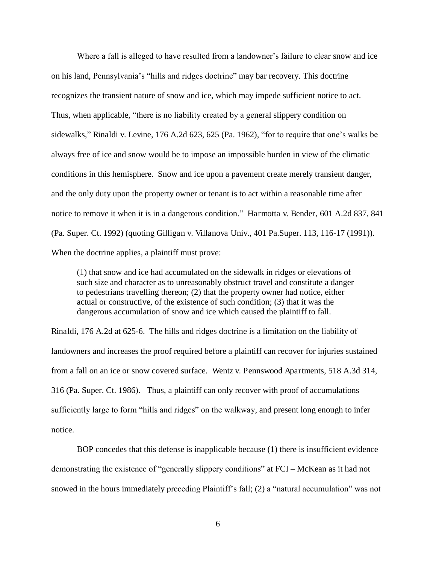Where a fall is alleged to have resulted from a landowner's failure to clear snow and ice on his land, Pennsylvania's "hills and ridges doctrine" may bar recovery. This doctrine recognizes the transient nature of snow and ice, which may impede sufficient notice to act. Thus, when applicable, "there is no liability created by a general slippery condition on sidewalks," Rinaldi v. Levine, 176 A.2d 623, 625 (Pa. 1962), "for to require that one's walks be always free of ice and snow would be to impose an impossible burden in view of the climatic conditions in this hemisphere. Snow and ice upon a pavement create merely transient danger, and the only duty upon the property owner or tenant is to act within a reasonable time after notice to remove it when it is in a dangerous condition." Harmotta v. Bender, 601 A.2d 837, 841 (Pa. Super. Ct. 1992) (quoting Gilligan v. Villanova Univ., 401 Pa.Super. 113, 116-17 (1991)). When the doctrine applies, a plaintiff must prove:

(1) that snow and ice had accumulated on the sidewalk in ridges or elevations of such size and character as to unreasonably obstruct travel and constitute a danger to pedestrians travelling thereon; (2) that the property owner had notice, either actual or constructive, of the existence of such condition; (3) that it was the dangerous accumulation of snow and ice which caused the plaintiff to fall.

Rinaldi, 176 A.2d at 625-6. The hills and ridges doctrine is a limitation on the liability of landowners and increases the proof required before a plaintiff can recover for injuries sustained from a fall on an ice or snow covered surface. Wentz v. Pennswood Apartments, 518 A.3d 314, 316 (Pa. Super. Ct. 1986). Thus, a plaintiff can only recover with proof of accumulations sufficiently large to form "hills and ridges" on the walkway, and present long enough to infer notice.

BOP concedes that this defense is inapplicable because (1) there is insufficient evidence demonstrating the existence of "generally slippery conditions" at FCI – McKean as it had not snowed in the hours immediately preceding Plaintiff's fall; (2) a "natural accumulation" was not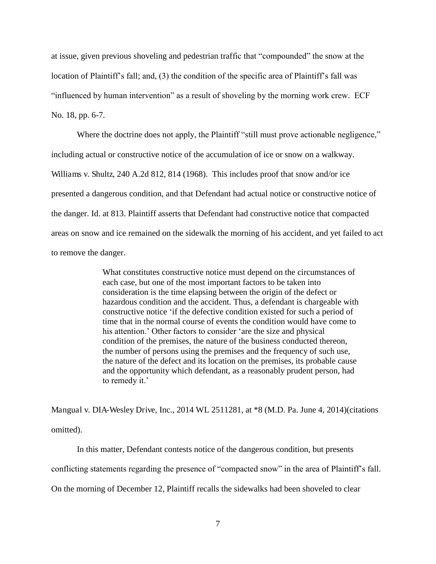at issue, given previous shoveling and pedestrian traffic that "compounded" the snow at the location of Plaintiff's fall; and, (3) the condition of the specific area of Plaintiff's fall was "influenced by human intervention" as a result of shoveling by the morning work crew. ECF No. 18, pp. 6-7.

Where the doctrine does not apply, the Plaintiff "still must prove actionable negligence," including actual or constructive notice of the accumulation of ice or snow on a walkway. Williams v. Shultz, 240 A.2d 812, 814 (1968). This includes proof that snow and/or ice presented a dangerous condition, and that Defendant had actual notice or constructive notice of the danger. Id. at 813. Plaintiff asserts that Defendant had constructive notice that compacted areas on snow and ice remained on the sidewalk the morning of his accident, and yet failed to act to remove the danger.

> What constitutes constructive notice must depend on the circumstances of each case, but one of the most important factors to be taken into consideration is the time elapsing between the origin of the defect or hazardous condition and the accident. Thus, a defendant is chargeable with constructive notice 'if the defective condition existed for such a period of time that in the normal course of events the condition would have come to his attention.' Other factors to consider 'are the size and physical condition of the premises, the nature of the business conducted thereon, the number of persons using the premises and the frequency of such use, the nature of the defect and its location on the premises, its probable cause and the opportunity which defendant, as a reasonably prudent person, had to remedy it.'

Mangual v. DIA-Wesley Drive, Inc., 2014 WL 2511281, at  $*8$  (M.D. Pa. June 4, 2014) (citations omitted).

In this matter, Defendant contests notice of the dangerous condition, but presents conflicting statements regarding the presence of "compacted snow" in the area of Plaintiff's fall. On the morning of December 12, Plaintiff recalls the sidewalks had been shoveled to clear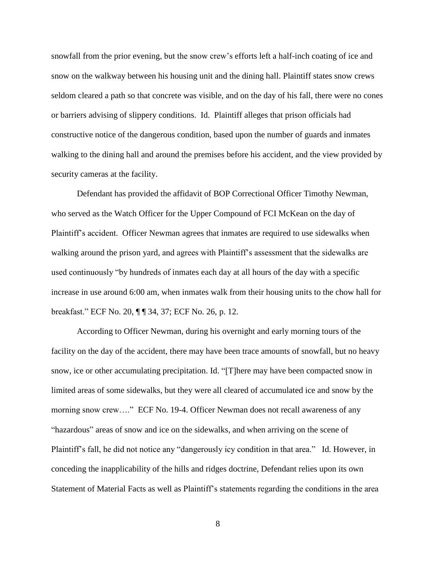snowfall from the prior evening, but the snow crew's efforts left a half-inch coating of ice and snow on the walkway between his housing unit and the dining hall. Plaintiff states snow crews seldom cleared a path so that concrete was visible, and on the day of his fall, there were no cones or barriers advising of slippery conditions. Id. Plaintiff alleges that prison officials had constructive notice of the dangerous condition, based upon the number of guards and inmates walking to the dining hall and around the premises before his accident, and the view provided by security cameras at the facility.

Defendant has provided the affidavit of BOP Correctional Officer Timothy Newman, who served as the Watch Officer for the Upper Compound of FCI McKean on the day of Plaintiff's accident. Officer Newman agrees that inmates are required to use sidewalks when walking around the prison yard, and agrees with Plaintiff's assessment that the sidewalks are used continuously "by hundreds of inmates each day at all hours of the day with a specific increase in use around 6:00 am, when inmates walk from their housing units to the chow hall for breakfast." ECF No. 20, ¶ ¶ 34, 37; ECF No. 26, p. 12.

According to Officer Newman, during his overnight and early morning tours of the facility on the day of the accident, there may have been trace amounts of snowfall, but no heavy snow, ice or other accumulating precipitation. Id. "[T]here may have been compacted snow in limited areas of some sidewalks, but they were all cleared of accumulated ice and snow by the morning snow crew...." ECF No. 19-4. Officer Newman does not recall awareness of any "hazardous" areas of snow and ice on the sidewalks, and when arriving on the scene of Plaintiff's fall, he did not notice any "dangerously icy condition in that area." Id. However, in conceding the inapplicability of the hills and ridges doctrine, Defendant relies upon its own Statement of Material Facts as well as Plaintiff's statements regarding the conditions in the area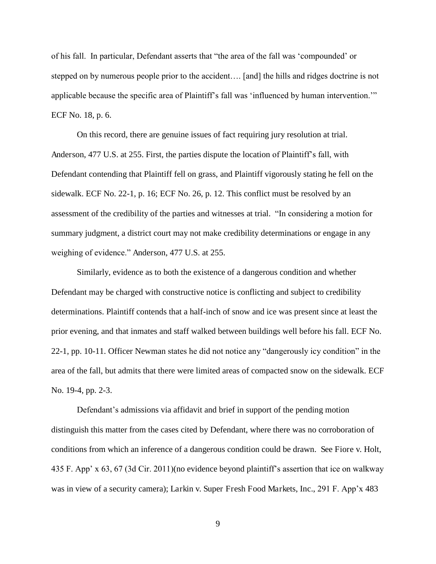of his fall. In particular, Defendant asserts that "the area of the fall was 'compounded' or stepped on by numerous people prior to the accident…. [and] the hills and ridges doctrine is not applicable because the specific area of Plaintiff's fall was 'influenced by human intervention.'" ECF No. 18, p. 6.

On this record, there are genuine issues of fact requiring jury resolution at trial. Anderson, 477 U.S. at 255. First, the parties dispute the location of Plaintiff's fall, with Defendant contending that Plaintiff fell on grass, and Plaintiff vigorously stating he fell on the sidewalk. ECF No. 22-1, p. 16; ECF No. 26, p. 12. This conflict must be resolved by an assessment of the credibility of the parties and witnesses at trial. "In considering a motion for summary judgment, a district court may not make credibility determinations or engage in any weighing of evidence." Anderson, 477 U.S. at 255.

Similarly, evidence as to both the existence of a dangerous condition and whether Defendant may be charged with constructive notice is conflicting and subject to credibility determinations. Plaintiff contends that a half-inch of snow and ice was present since at least the prior evening, and that inmates and staff walked between buildings well before his fall. ECF No. 22-1, pp. 10-11. Officer Newman states he did not notice any "dangerously icy condition" in the area of the fall, but admits that there were limited areas of compacted snow on the sidewalk. ECF No. 19-4, pp. 2-3.

Defendant's admissions via affidavit and brief in support of the pending motion distinguish this matter from the cases cited by Defendant, where there was no corroboration of conditions from which an inference of a dangerous condition could be drawn. See Fiore v. Holt, 435 F. App' x 63, 67 (3d Cir. 2011)(no evidence beyond plaintiff's assertion that ice on walkway was in view of a security camera); Larkin v. Super Fresh Food Markets, Inc., 291 F. App'x 483